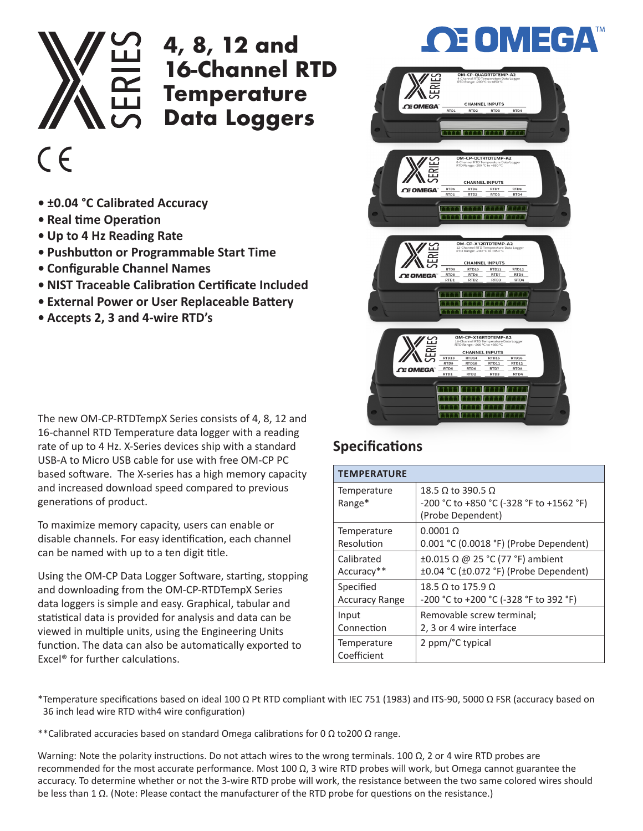

## **4, 8, 12 and 16-Channel RTD Temperature Data Loggers**

## $C \in$

- **• ±0.04 °C Calibrated Accuracy**
- **• Real time Operation**
- **• Up to 4 Hz Reading Rate**
- **• Pushbutton or Programmable Start Time**
- **• Configurable Channel Names**
- **• NIST Traceable Calibration Certificate Included**
- **• External Power or User Replaceable Battery**
- **• Accepts 2, 3 and 4-wire RTD's**

The new OM-CP-RTDTempX Series consists of 4, 8, 12 and 16-channel RTD Temperature data logger with a reading rate of up to 4 Hz. X-Series devices ship with a standard USB-A to Micro USB cable for use with free OM-CP PC based software. The X-series has a high memory capacity and increased download speed compared to previous generations of product.

To maximize memory capacity, users can enable or disable channels. For easy identification, each channel can be named with up to a ten digit title.

Using the OM-CP Data Logger Software, starting, stopping and downloading from the OM-CP-RTDTempX Series data loggers is simple and easy. Graphical, tabular and statistical data is provided for analysis and data can be viewed in multiple units, using the Engineering Units function. The data can also be automatically exported to Excel® for further calculations.

## **Specifications**

| <b>TEMPERATURE</b>         |                                                                                    |
|----------------------------|------------------------------------------------------------------------------------|
| Temperature<br>Range*      | 18.5 Ω to 390.5 Ω<br>-200 °C to +850 °C (-328 °F to +1562 °F)<br>(Probe Dependent) |
| Temperature                | $0.0001\ \Omega$                                                                   |
| Resolution                 | 0.001 °C (0.0018 °F) (Probe Dependent)                                             |
| Calibrated                 | ±0.015 Ω @ 25 °C (77 °F) ambient                                                   |
| Accuracy**                 | $\pm 0.04$ °C ( $\pm 0.072$ °F) (Probe Dependent)                                  |
| Specified                  | 18.5 Ω to 175.9 Ω                                                                  |
| <b>Accuracy Range</b>      | -200 °C to +200 °C (-328 °F to 392 °F)                                             |
| Input                      | Removable screw terminal;                                                          |
| Connection                 | 2, 3 or 4 wire interface                                                           |
| Temperature<br>Coefficient | 2 ppm/°C typical                                                                   |

\*Temperature specifications based on ideal 100 Ω Pt RTD compliant with IEC 751 (1983) and ITS-90, 5000 Ω FSR (accuracy based on 36 inch lead wire RTD with4 wire configuration)

\*\*Calibrated accuracies based on standard Omega calibrations for 0  $\Omega$  to 200  $\Omega$  range.

Warning: Note the polarity instructions. Do not attach wires to the wrong terminals. 100  $\Omega$ , 2 or 4 wire RTD probes are recommended for the most accurate performance. Most 100 Ω, 3 wire RTD probes will work, but Omega cannot guarantee the accuracy. To determine whether or not the 3-wire RTD probe will work, the resistance between the two same colored wires should be less than 1 Ω. (Note: Please contact the manufacturer of the RTD probe for questions on the resistance.)